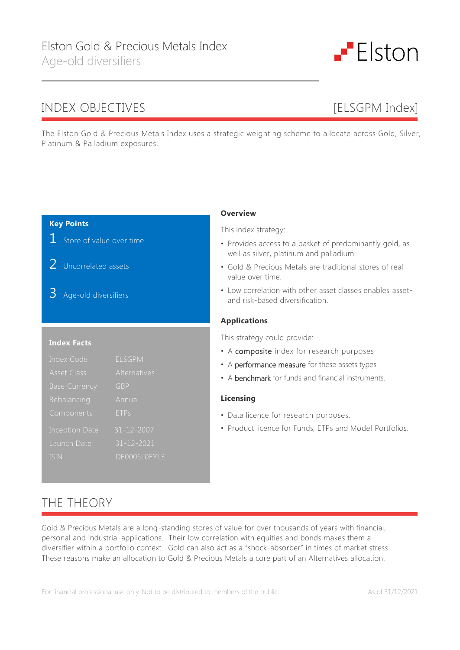# INDEX OBJECTIVES [ELSGPM Index]

The Elston Gold & Precious Metals Index uses a strategic weighting scheme to allocate across Gold, Silver, Platinum & Palladium exposures.

### **Key Points**

**1** Store of value over time

- 2 Uncorrelated assets
- 3 Age-old diversifiers

### **Index Facts**

| Index Code            | <b>ELSGPM</b>    |
|-----------------------|------------------|
| <b>Asset Class</b>    | Alternatives     |
| <b>Base Currency</b>  | GBP              |
| Rebalancing           | Annual           |
| Components            | <b>ETPs</b>      |
| <b>Inception Date</b> | 31-12-2007       |
| Launch Date           | $31 - 12 - 2021$ |
| ISIN                  | DE000SL0EYL3     |

### **Overview**

This index strategy:

- Provides access to a basket of predominantly gold, as well as silver, platinum and palladium.
- Gold & Precious Metals are traditional stores of real value over time.
- Low correlation with other asset classes enables assetand risk-based diversification.

#### **Applications**

This strategy could provide:

- A composite index for research purposes
- A performance measure for these assets types
- A benchmark for funds and financial instruments.

### **Licensing**

- Data licence for research purposes.
- Product licence for Funds, ETPs and Model Portfolios.

# THE THEORY

Gold & Precious Metals are a long-standing stores of value for over thousands of years with financial, personal and industrial applications. Their low correlation with equities and bonds makes them a diversifier within a portfolio context. Gold can also act as a "shock-absorber" in times of market stress. These reasons make an allocation to Gold & Precious Metals a core part of an Alternatives allocation.

For financial professional use only. Not to be distributed to members of the public. As of 31/12/2021